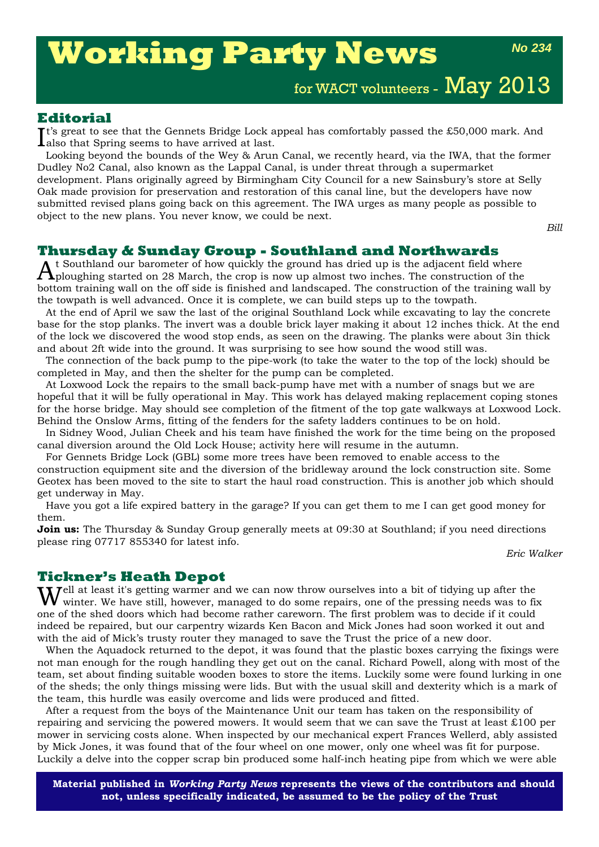# **Working Party News**

*No 234*

for WACT volunteers - May 2013

### **Editorial**

It's great to see that the Gennets Bridge Lock appeal has comfortably passed the £50,000 mark. And also that Spring seems to have arrived at last. **L**also that Spring seems to have arrived at last.

Looking beyond the bounds of the Wey & Arun Canal, we recently heard, via the IWA, that the former Dudley No2 Canal, also known as the Lappal Canal, is under threat through a supermarket development. Plans originally agreed by Birmingham City Council for a new Sainsbury's store at Selly Oak made provision for preservation and restoration of this canal line, but the developers have now submitted revised plans going back on this agreement. The IWA urges as many people as possible to object to the new plans. You never know, we could be next.

*Bill*

### **Thursday & Sunday Group - Southland and Northwards**

 $A$ t Southland our barometer of how quickly the ground has dried up is the adjacent field where<br>ploughing started on 28 March, the crop is now up almost two inches. The construction of the bottom training wall on the off side is finished and landscaped. The construction of the training wall by the towpath is well advanced. Once it is complete, we can build steps up to the towpath.

At the end of April we saw the last of the original Southland Lock while excavating to lay the concrete base for the stop planks. The invert was a double brick layer making it about 12 inches thick. At the end of the lock we discovered the wood stop ends, as seen on the drawing. The planks were about 3in thick and about 2ft wide into the ground. It was surprising to see how sound the wood still was.

The connection of the back pump to the pipe-work (to take the water to the top of the lock) should be completed in May, and then the shelter for the pump can be completed.

At Loxwood Lock the repairs to the small back-pump have met with a number of snags but we are hopeful that it will be fully operational in May. This work has delayed making replacement coping stones for the horse bridge. May should see completion of the fitment of the top gate walkways at Loxwood Lock. Behind the Onslow Arms, fitting of the fenders for the safety ladders continues to be on hold.

In Sidney Wood, Julian Cheek and his team have finished the work for the time being on the proposed canal diversion around the Old Lock House; activity here will resume in the autumn.

For Gennets Bridge Lock (GBL) some more trees have been removed to enable access to the construction equipment site and the diversion of the bridleway around the lock construction site. Some Geotex has been moved to the site to start the haul road construction. This is another job which should get underway in May.

Have you got a life expired battery in the garage? If you can get them to me I can get good money for them.

**Join us:** The Thursday & Sunday Group generally meets at 09:30 at Southland; if you need directions please ring 07717 855340 for latest info.

*Eric Walker*

### **Tickner's Heath Depot**

Well at least it's getting warmer and we can now throw ourselves into a bit of tidying up after the winter. We have still, however, managed to do some repairs, one of the pressing needs was to fix one of the shed doors which had become rather careworn. The first problem was to decide if it could indeed be repaired, but our carpentry wizards Ken Bacon and Mick Jones had soon worked it out and with the aid of Mick's trusty router they managed to save the Trust the price of a new door.

When the Aquadock returned to the depot, it was found that the plastic boxes carrying the fixings were not man enough for the rough handling they get out on the canal. Richard Powell, along with most of the team, set about finding suitable wooden boxes to store the items. Luckily some were found lurking in one of the sheds; the only things missing were lids. But with the usual skill and dexterity which is a mark of the team, this hurdle was easily overcome and lids were produced and fitted.

After a request from the boys of the Maintenance Unit our team has taken on the responsibility of repairing and servicing the powered mowers. It would seem that we can save the Trust at least £100 per mower in servicing costs alone. When inspected by our mechanical expert Frances Wellerd, ably assisted by Mick Jones, it was found that of the four wheel on one mower, only one wheel was fit for purpose. Luckily a delve into the copper scrap bin produced some half-inch heating pipe from which we were able

**Material published in** *Working Party News* **represents the views of the contributors and should not, unless specifically indicated, be assumed to be the policy of the Trust**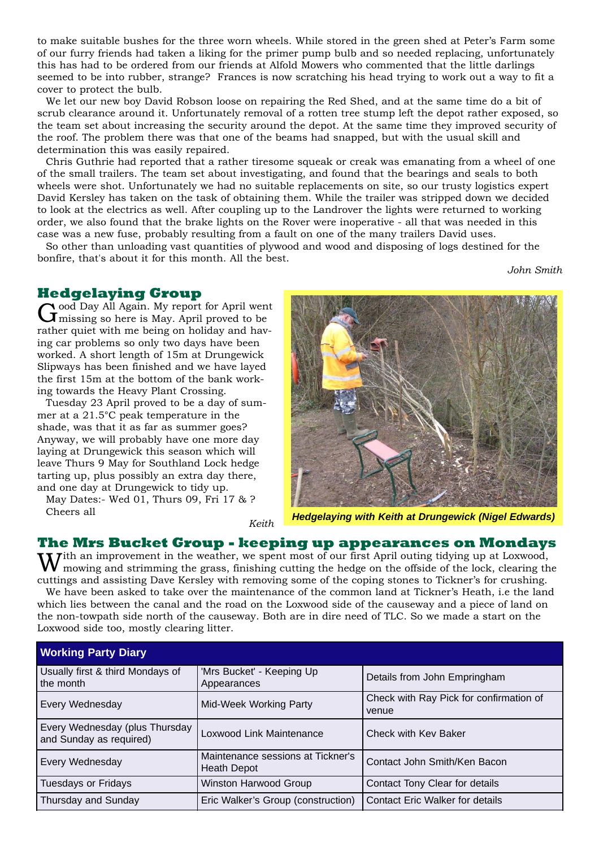to make suitable bushes for the three worn wheels. While stored in the green shed at Peter's Farm some of our furry friends had taken a liking for the primer pump bulb and so needed replacing, unfortunately this has had to be ordered from our friends at Alfold Mowers who commented that the little darlings seemed to be into rubber, strange? Frances is now scratching his head trying to work out a way to fit a cover to protect the bulb.

We let our new boy David Robson loose on repairing the Red Shed, and at the same time do a bit of scrub clearance around it. Unfortunately removal of a rotten tree stump left the depot rather exposed, so the team set about increasing the security around the depot. At the same time they improved security of the roof. The problem there was that one of the beams had snapped, but with the usual skill and determination this was easily repaired.

Chris Guthrie had reported that a rather tiresome squeak or creak was emanating from a wheel of one of the small trailers. The team set about investigating, and found that the bearings and seals to both wheels were shot. Unfortunately we had no suitable replacements on site, so our trusty logistics expert David Kersley has taken on the task of obtaining them. While the trailer was stripped down we decided to look at the electrics as well. After coupling up to the Landrover the lights were returned to working order, we also found that the brake lights on the Rover were inoperative - all that was needed in this case was a new fuse, probably resulting from a fault on one of the many trailers David uses.

So other than unloading vast quantities of plywood and wood and disposing of logs destined for the bonfire, that's about it for this month. All the best.

*John Smith*

**Hedgelaying Group**<br>  $\bigcap$  ood Day All Again. My report for April went Good Day All Again. My report for April went missing so here is May. April proved to be rather quiet with me being on holiday and having car problems so only two days have been worked. A short length of 15m at Drungewick Slipways has been finished and we have layed the first 15m at the bottom of the bank working towards the Heavy Plant Crossing.

Tuesday 23 April proved to be a day of summer at a 21.5°C peak temperature in the shade, was that it as far as summer goes? Anyway, we will probably have one more day laying at Drungewick this season which will leave Thurs 9 May for Southland Lock hedge tarting up, plus possibly an extra day there, and one day at Drungewick to tidy up.

May Dates:- Wed 01, Thurs 09, Fri 17 & ? Cheers all

*Keith*



*Hedgelaying with Keith at Drungewick (Nigel Edwards)*

## **The Mrs Bucket Group - keeping up appearances on Mondays**<br>**II** *J*ith an improvement in the weather, we spent most of our first April outing tidying up at Loxwood,

With an improvement in the weather, we spent most of our first April outing tidying up at Loxwood, mowing and strimming the grass, finishing cutting the hedge on the offside of the lock, clearing the cuttings and assisting Dave Kersley with removing some of the coping stones to Tickner's for crushing.

We have been asked to take over the maintenance of the common land at Tickner's Heath, i.e the land which lies between the canal and the road on the Loxwood side of the causeway and a piece of land on the non-towpath side north of the causeway. Both are in dire need of TLC. So we made a start on the Loxwood side too, mostly clearing litter.

| <b>Working Party Diary</b>                                |                                                         |                                                  |  |  |
|-----------------------------------------------------------|---------------------------------------------------------|--------------------------------------------------|--|--|
| Usually first & third Mondays of<br>the month             | 'Mrs Bucket' - Keeping Up<br>Appearances                | Details from John Empringham                     |  |  |
| Every Wednesday                                           | Mid-Week Working Party                                  | Check with Ray Pick for confirmation of<br>venue |  |  |
| Every Wednesday (plus Thursday<br>and Sunday as required) | <b>Loxwood Link Maintenance</b>                         | Check with Kev Baker                             |  |  |
| Every Wednesday                                           | Maintenance sessions at Tickner's<br><b>Heath Depot</b> | Contact John Smith/Ken Bacon                     |  |  |
| <b>Tuesdays or Fridays</b>                                | <b>Winston Harwood Group</b>                            | Contact Tony Clear for details                   |  |  |
| Thursday and Sunday                                       | Eric Walker's Group (construction)                      | <b>Contact Eric Walker for details</b>           |  |  |